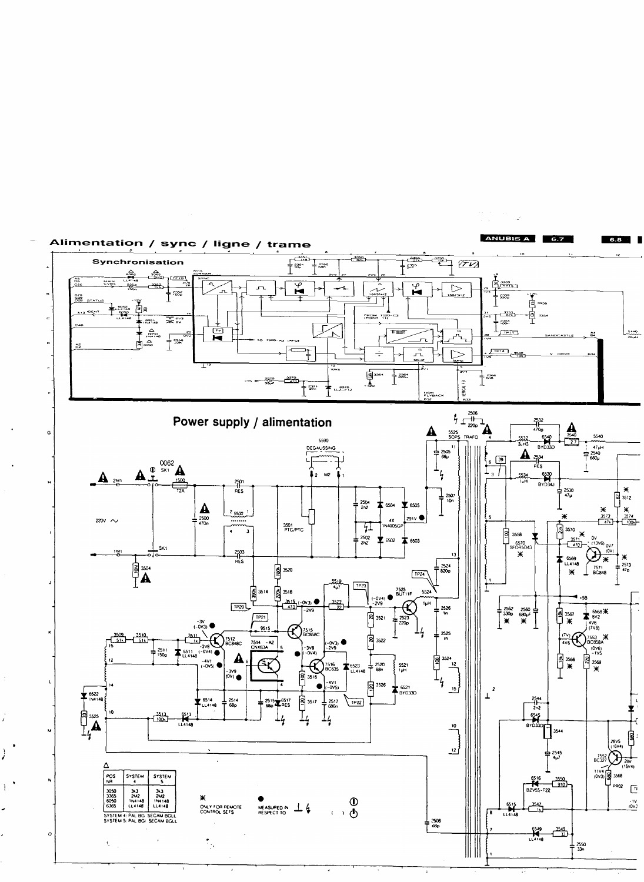

 $\hat{\mathbb{C}}$ 

 $\boldsymbol{I}$ 

 $\frac{1}{2}$ 

j.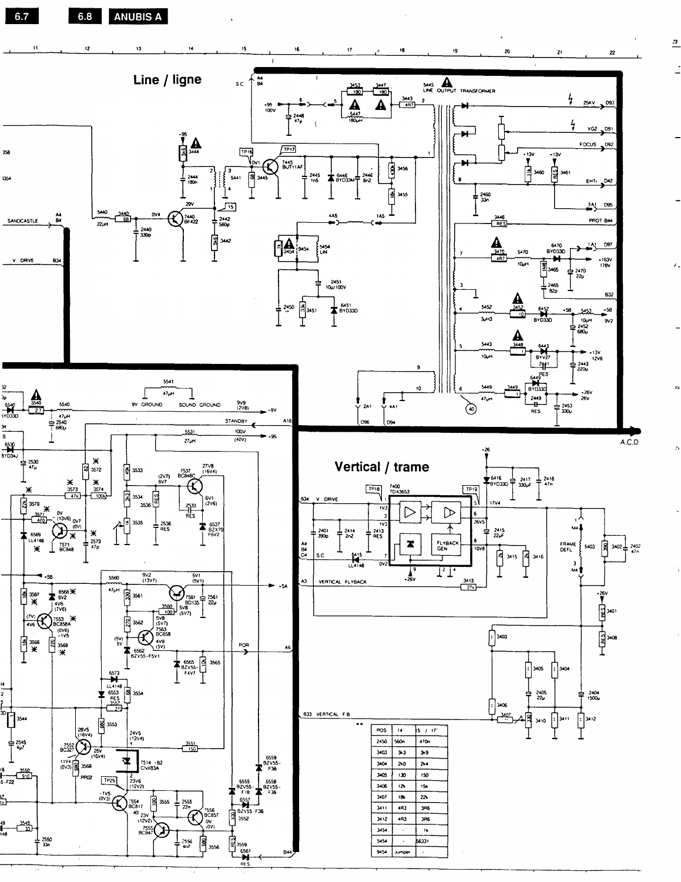6.7 **ANUBIS A** 6.8



 $\mathbf{r}$ 

 $\mathbf{y}$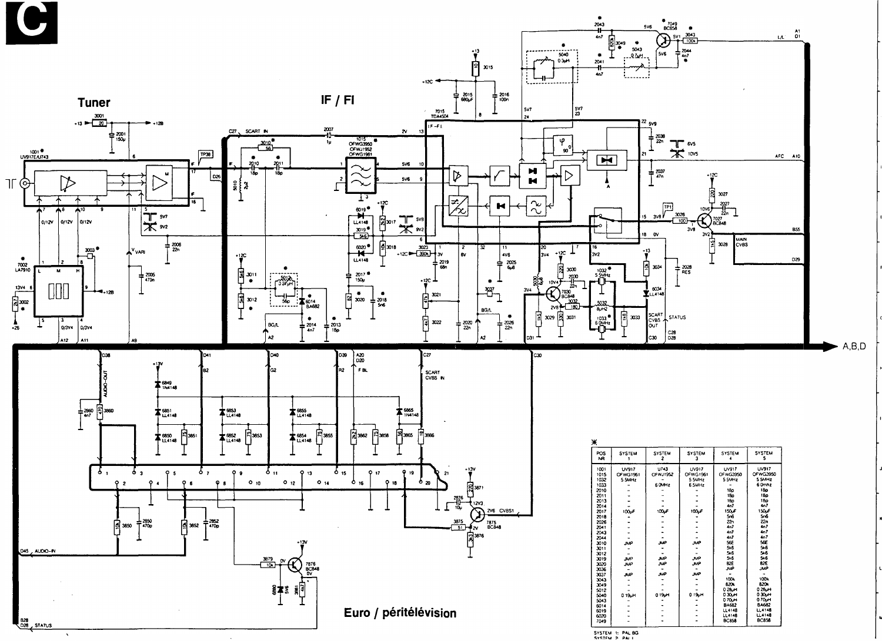



| 灬                     |               |                    |                     |                     |                    |
|-----------------------|---------------|--------------------|---------------------|---------------------|--------------------|
| POS<br>N <sub>R</sub> | <b>SYSTEM</b> | <b>SYSTEM</b><br>2 | <b>SYSTEM</b><br>3  | <b>SYSTEM</b>       | <b>SYSTEM</b><br>s |
| 1001                  | <b>UV917</b>  | U/43               | <b>UV917</b>        | UV917               | UV917              |
| 1015                  | OFWG1961      | OFWJ1952           | OFWG1961            | OFWG3950            | OFWG3950           |
| 1032                  | 5 SMHz        |                    | 55MHz               | 5 SMHz              | 5 SMHz             |
| 1033                  |               | <b>6 OMHZ</b>      | 6 SMHz              |                     | 60mhz              |
| 2010                  |               |                    |                     | 180                 | 180                |
| 2011                  |               |                    |                     | 18p                 | 18p                |
| 2013                  |               |                    |                     | 180                 | 180                |
| 2014                  |               |                    |                     | 4 <sub>0</sub>      | 407                |
| 2017                  | 100µF         | 100 <sub>k</sub> F | 100µF               | 150 <sub>k</sub> F  | 150 <sub>L</sub> F |
| 2018                  |               |                    |                     | 566                 | 56                 |
| 2026                  |               |                    |                     | 22n                 | 22n                |
| 2041                  |               |                    |                     | 4n                  | 407                |
| 2043                  |               |                    |                     | 4n                  | 4n7                |
| 2044                  |               |                    |                     | 4n7                 | 4n7                |
| 3010                  | <b>JMP</b>    | <b>JMP</b>         | <b>JMP</b>          | 56E                 | 56E                |
| 3011                  |               |                    |                     | 5k6                 | 546                |
| 3012                  |               |                    |                     | 5.6                 | 5.6                |
| 3019                  | <b>JMP</b>    | <b>JMP</b>         | <b>JMP</b>          | <b>5k6</b>          | <b>5k6</b>         |
| 3020                  | <b>JMP</b>    | <b>JMP</b>         | <b>JMP</b>          | B <sub>2</sub> E    | B <sub>2</sub> E   |
| 3036                  |               |                    |                     | <b>JMP</b>          | JMP                |
| 3037                  | <b>JNP</b>    | <b>ANP</b>         | <b>JMP</b>          |                     |                    |
| 3043                  |               |                    |                     | 1004                | 100%               |
| 3049                  |               |                    |                     | 820k                | 820k               |
| 5012                  |               |                    |                     | 028µH               | 028uH              |
| 5040                  | 019uH         | 019pH              | 0.19 <sub>u</sub> H | 0.30 <sub>h</sub> H | 0.30uH             |
| 5043                  |               |                    |                     | 070pH               | 070pH              |
| 6014                  |               |                    |                     | <b>BA682</b>        | <b>BA682</b>       |
| 6019                  |               |                    |                     | LL4148              | LL4148             |
| 6020                  |               |                    |                     | LL4148              | LL 1148            |
| 7049                  |               |                    |                     | <b>BC853</b>        | <b>BC858</b>       |
|                       |               |                    |                     |                     |                    |

 $A,B,D$ 

SYSTEM 1: PAL BG<br>System 2 PAL I